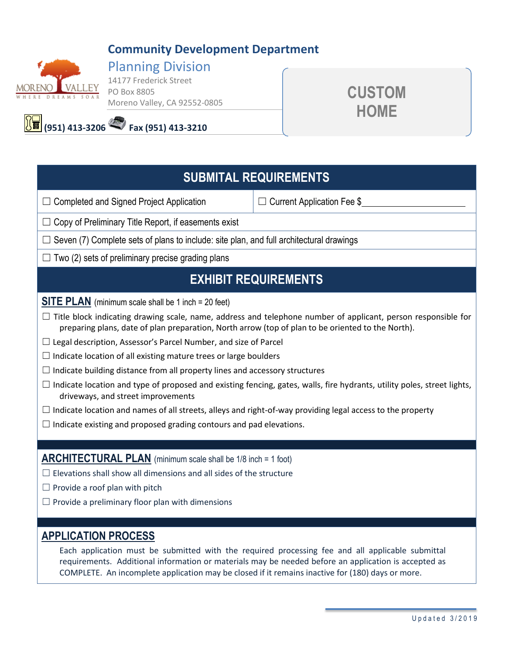# **Community Development Department**



### Planning Division 14177 Frederick Street PO Box 8805

Moreno Valley, CA 92552-0805



**(951) 413-3206 Fax (951) 413-3210** 

# **SUBMITAL REQUIREMENTS**

☐ Completed and Signed Project Application ☐ Current Application Fee \$

 $\Box$  Copy of Preliminary Title Report, if easements exist

 $\Box$  Seven (7) Complete sets of plans to include: site plan, and full architectural drawings

 $\Box$  Two (2) sets of preliminary precise grading plans

# **EXHIBIT REQUIREMENTS**

**SITE PLAN** (minimum scale shall be 1 inch = 20 feet)

 $\Box$  Title block indicating drawing scale, name, address and telephone number of applicant, person responsible for preparing plans, date of plan preparation, North arrow (top of plan to be oriented to the North).

- $\Box$  Legal description, Assessor's Parcel Number, and size of Parcel
- $\Box$  Indicate location of all existing mature trees or large boulders
- $\Box$  Indicate building distance from all property lines and accessory structures
- $\Box$  Indicate location and type of proposed and existing fencing, gates, walls, fire hydrants, utility poles, street lights, driveways, and street improvements
- $\Box$  Indicate location and names of all streets, alleys and right-of-way providing legal access to the property
- $\Box$  Indicate existing and proposed grading contours and pad elevations.

## **ARCHITECTURAL PLAN** (minimum scale shall be 1/8 inch = 1 foot)

- $\Box$  Elevations shall show all dimensions and all sides of the structure
- $\Box$  Provide a roof plan with pitch
- $\Box$  Provide a preliminary floor plan with dimensions

# **APPLICATION PROCESS**

Each application must be submitted with the required processing fee and all applicable submittal requirements. Additional information or materials may be needed before an application is accepted as COMPLETE. An incomplete application may be closed if it remains inactive for (180) days or more.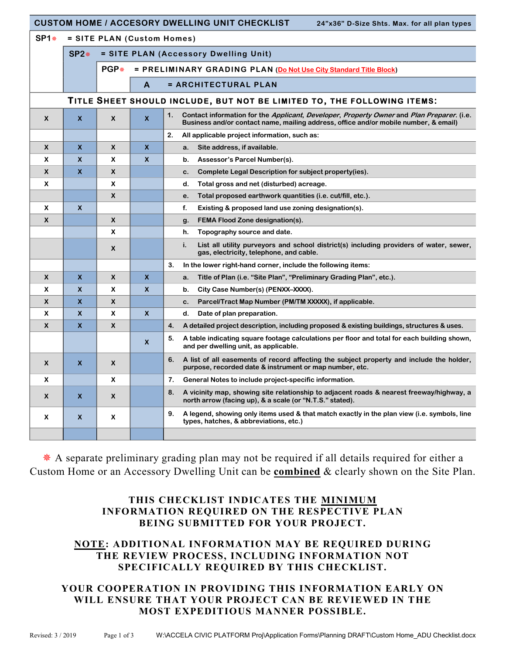|                           | <b>CUSTOM HOME / ACCESORY DWELLING UNIT CHECKLIST</b><br>24"x36" D-Size Shts. Max. for all plan types |                            |                                       |                                                                                                                                                                                         |  |  |  |  |  |
|---------------------------|-------------------------------------------------------------------------------------------------------|----------------------------|---------------------------------------|-----------------------------------------------------------------------------------------------------------------------------------------------------------------------------------------|--|--|--|--|--|
| $SP1*$                    |                                                                                                       | = SITE PLAN (Custom Homes) |                                       |                                                                                                                                                                                         |  |  |  |  |  |
|                           | $SP2*$                                                                                                |                            | = SITE PLAN (Accessory Dwelling Unit) |                                                                                                                                                                                         |  |  |  |  |  |
|                           |                                                                                                       | $PGP*$                     |                                       | = PRELIMINARY GRADING PLAN (Do Not Use City Standard Title Block)                                                                                                                       |  |  |  |  |  |
|                           |                                                                                                       |                            | A                                     | = ARCHITECTURAL PLAN                                                                                                                                                                    |  |  |  |  |  |
|                           | TITLE SHEET SHOULD INCLUDE, BUT NOT BE LIMITED TO, THE FOLLOWING ITEMS:                               |                            |                                       |                                                                                                                                                                                         |  |  |  |  |  |
|                           |                                                                                                       |                            |                                       |                                                                                                                                                                                         |  |  |  |  |  |
| $\boldsymbol{x}$          | $\boldsymbol{\mathsf{x}}$                                                                             | X                          | $\boldsymbol{\mathsf{x}}$             | 1.<br>Contact information for the Applicant, Developer, Property Owner and Plan Preparer. (i.e.<br>Business and/or contact name, mailing address, office and/or mobile number, & email) |  |  |  |  |  |
|                           |                                                                                                       |                            |                                       | 2.<br>All applicable project information, such as:                                                                                                                                      |  |  |  |  |  |
| $\mathsf{x}$              | $\boldsymbol{\mathsf{x}}$                                                                             | $\boldsymbol{x}$           | $\boldsymbol{\mathsf{x}}$             | Site address, if available.<br>a.                                                                                                                                                       |  |  |  |  |  |
| X                         | $\boldsymbol{\mathsf{x}}$                                                                             | X                          | $\boldsymbol{x}$                      | Assessor's Parcel Number(s).<br>b.                                                                                                                                                      |  |  |  |  |  |
| $\boldsymbol{x}$          | X                                                                                                     | X                          |                                       | Complete Legal Description for subject property (ies).<br>c.                                                                                                                            |  |  |  |  |  |
| X                         |                                                                                                       | X                          |                                       | Total gross and net (disturbed) acreage.<br>d.                                                                                                                                          |  |  |  |  |  |
|                           |                                                                                                       | $\boldsymbol{x}$           |                                       | Total proposed earthwork quantities (i.e. cut/fill, etc.).<br>е.                                                                                                                        |  |  |  |  |  |
| X                         | $\boldsymbol{\mathsf{x}}$                                                                             |                            |                                       | f.<br>Existing & proposed land use zoning designation(s).                                                                                                                               |  |  |  |  |  |
| $\boldsymbol{\mathsf{x}}$ |                                                                                                       | $\boldsymbol{x}$           |                                       | <b>FEMA Flood Zone designation(s).</b><br>g.                                                                                                                                            |  |  |  |  |  |
|                           |                                                                                                       | X                          |                                       | Topography source and date.<br>h.                                                                                                                                                       |  |  |  |  |  |
|                           |                                                                                                       | X                          |                                       | List all utility purveyors and school district(s) including providers of water, sewer,<br>i.<br>gas, electricity, telephone, and cable.                                                 |  |  |  |  |  |
|                           |                                                                                                       |                            |                                       | 3.<br>In the lower right-hand corner, include the following items:                                                                                                                      |  |  |  |  |  |
| X                         | X.                                                                                                    | X                          | $\boldsymbol{\mathsf{x}}$             | Title of Plan (i.e. "Site Plan", "Preliminary Grading Plan", etc.).<br>a.                                                                                                               |  |  |  |  |  |
| X                         | X                                                                                                     | X                          | X                                     | City Case Number(s) (PENXX-XXXX).<br>b.                                                                                                                                                 |  |  |  |  |  |
| $\boldsymbol{\mathsf{x}}$ | $\mathsf{x}$                                                                                          | X                          |                                       | Parcel/Tract Map Number (PM/TM XXXXX), if applicable.<br>c.                                                                                                                             |  |  |  |  |  |
| X                         | $\boldsymbol{\mathsf{x}}$                                                                             | X                          | $\boldsymbol{\mathsf{x}}$             | Date of plan preparation.<br>d.                                                                                                                                                         |  |  |  |  |  |
| $\boldsymbol{x}$          | $\mathsf{x}$                                                                                          | $\boldsymbol{x}$           |                                       | A detailed project description, including proposed & existing buildings, structures & uses.<br>4.                                                                                       |  |  |  |  |  |
|                           |                                                                                                       |                            | $\boldsymbol{\mathsf{x}}$             | 5.<br>A table indicating square footage calculations per floor and total for each building shown,<br>and per dwelling unit, as applicable.                                              |  |  |  |  |  |
| X                         | $\boldsymbol{\mathsf{x}}$                                                                             | X                          |                                       | A list of all easements of record affecting the subject property and include the holder,<br>6.<br>purpose, recorded date & instrument or map number, etc.                               |  |  |  |  |  |
| X                         |                                                                                                       | X                          |                                       | General Notes to include project-specific information.<br>7.                                                                                                                            |  |  |  |  |  |
| X                         | $\boldsymbol{\mathsf{x}}$                                                                             | X                          |                                       | A vicinity map, showing site relationship to adjacent roads & nearest freeway/highway, a<br>8.<br>north arrow (facing up), & a scale (or "N.T.S." stated).                              |  |  |  |  |  |
| X                         | $\boldsymbol{x}$                                                                                      | X                          |                                       | 9.<br>A legend, showing only items used & that match exactly in the plan view (i.e. symbols, line<br>types, hatches, & abbreviations, etc.)                                             |  |  |  |  |  |
|                           |                                                                                                       |                            |                                       |                                                                                                                                                                                         |  |  |  |  |  |

\* A separate preliminary grading plan may not be required if all details required for either a Custom Home or an Accessory Dwelling Unit can be combined & clearly shown on the Site Plan.

### THIS CHECKLIST INDICATES THE MINIMUM INFORMATION REQUIRED ON THE RESPECTIVE PLAN BEING SUBMITTED FOR YOUR PROJECT.

#### NOTE: ADDITIONAL INFORMATION MAY BE REQUIRED DURING THE REVIEW PROCESS, INCLUDING INFORMATION NOT SPECIFICALLY REQUIRED BY THIS CHECKLIST.

### YOUR COOPERATION IN PROVIDING THIS INFORMATION EARLY ON WILL ENSURE THAT YOUR PROJECT CAN BE REVIEWED IN THE MOST EXPEDITIOUS MANNER POSSIBLE.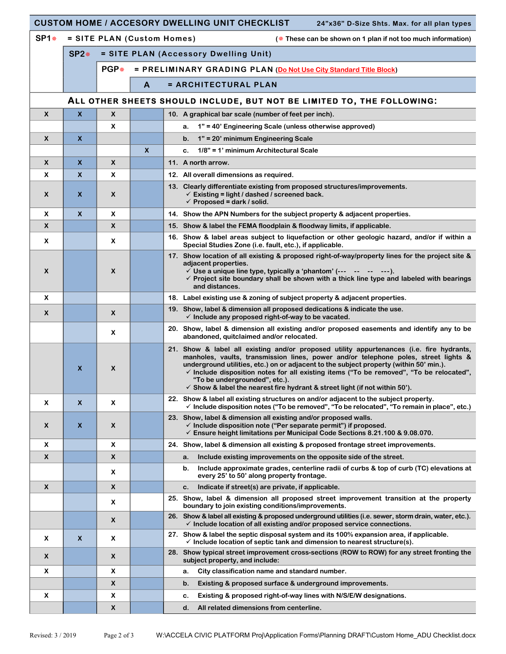|                           |                           |                                       |              | <b>CUSTOM HOME / ACCESORY DWELLING UNIT CHECKLIST</b><br>24"x36" D-Size Shts. Max. for all plan types                                                                                                                                                                                                                                                                                                                                                                                                      |  |  |  |
|---------------------------|---------------------------|---------------------------------------|--------------|------------------------------------------------------------------------------------------------------------------------------------------------------------------------------------------------------------------------------------------------------------------------------------------------------------------------------------------------------------------------------------------------------------------------------------------------------------------------------------------------------------|--|--|--|
| <b>SP1*</b>               |                           |                                       |              | = SITE PLAN (Custom Homes)<br>( $*$ These can be shown on 1 plan if not too much information)                                                                                                                                                                                                                                                                                                                                                                                                              |  |  |  |
|                           | $SP2*$                    | = SITE PLAN (Accessory Dwelling Unit) |              |                                                                                                                                                                                                                                                                                                                                                                                                                                                                                                            |  |  |  |
|                           |                           | PGP*                                  |              | = PRELIMINARY GRADING PLAN (Do Not Use City Standard Title Block)                                                                                                                                                                                                                                                                                                                                                                                                                                          |  |  |  |
|                           |                           |                                       | $\mathsf{A}$ | = ARCHITECTURAL PLAN                                                                                                                                                                                                                                                                                                                                                                                                                                                                                       |  |  |  |
|                           |                           |                                       |              | ALL OTHER SHEETS SHOULD INCLUDE, BUT NOT BE LIMITED TO, THE FOLLOWING:                                                                                                                                                                                                                                                                                                                                                                                                                                     |  |  |  |
| $\boldsymbol{x}$          | $\boldsymbol{\mathsf{x}}$ | $\boldsymbol{x}$                      |              | 10. A graphical bar scale (number of feet per inch).                                                                                                                                                                                                                                                                                                                                                                                                                                                       |  |  |  |
|                           |                           | x                                     |              | 1" = 40' Engineering Scale (unless otherwise approved)<br>a.                                                                                                                                                                                                                                                                                                                                                                                                                                               |  |  |  |
| $\boldsymbol{x}$          | $\boldsymbol{\mathsf{x}}$ |                                       |              | 1" = 20' minimum Engineering Scale<br>$\mathbf b$ .                                                                                                                                                                                                                                                                                                                                                                                                                                                        |  |  |  |
|                           |                           |                                       | $\mathsf{x}$ | 1/8" = 1' minimum Architectural Scale<br>c.                                                                                                                                                                                                                                                                                                                                                                                                                                                                |  |  |  |
| X                         | X                         | X                                     |              | 11. A north arrow.                                                                                                                                                                                                                                                                                                                                                                                                                                                                                         |  |  |  |
| X                         | X                         | x                                     |              | 12. All overall dimensions as required.                                                                                                                                                                                                                                                                                                                                                                                                                                                                    |  |  |  |
| X                         | X                         | X                                     |              | 13. Clearly differentiate existing from proposed structures/improvements.<br>$\checkmark$ Existing = light / dashed / screened back.<br>$\checkmark$ Proposed = dark / solid.                                                                                                                                                                                                                                                                                                                              |  |  |  |
| X                         | $\boldsymbol{\mathsf{x}}$ | x                                     |              | 14. Show the APN Numbers for the subject property & adjacent properties.                                                                                                                                                                                                                                                                                                                                                                                                                                   |  |  |  |
| $\boldsymbol{x}$          |                           | X                                     |              | 15. Show & label the FEMA floodplain & floodway limits, if applicable.                                                                                                                                                                                                                                                                                                                                                                                                                                     |  |  |  |
| X                         |                           | X                                     |              | 16. Show & label areas subject to liquefaction or other geologic hazard, and/or if within a<br>Special Studies Zone (i.e. fault, etc.), if applicable.                                                                                                                                                                                                                                                                                                                                                     |  |  |  |
| X                         |                           | X                                     |              | 17. Show location of all existing & proposed right-of-way/property lines for the project site &<br>adjacent properties.<br>$\checkmark$ Use a unique line type, typically a 'phantom' (--- -- -- -- ---).<br>$\checkmark$ Project site boundary shall be shown with a thick line type and labeled with bearings<br>and distances.                                                                                                                                                                          |  |  |  |
| X                         |                           |                                       |              | 18. Label existing use & zoning of subject property & adjacent properties.                                                                                                                                                                                                                                                                                                                                                                                                                                 |  |  |  |
| $\boldsymbol{x}$          |                           | X                                     |              | 19. Show, label & dimension all proposed dedications & indicate the use.<br>$\checkmark$ Include any proposed right-of-way to be vacated.                                                                                                                                                                                                                                                                                                                                                                  |  |  |  |
|                           |                           | X                                     |              | 20. Show, label & dimension all existing and/or proposed easements and identify any to be<br>abandoned, quitclaimed and/or relocated.                                                                                                                                                                                                                                                                                                                                                                      |  |  |  |
|                           | $\boldsymbol{\mathsf{x}}$ | X                                     |              | 21. Show & label all existing and/or proposed utility appurtenances (i.e. fire hydrants,<br>manholes, vaults, transmission lines, power and/or telephone poles, street lights &<br>underground utilities, etc.) on or adjacent to the subject property (within 50' min.).<br>$\checkmark$ Include disposition notes for all existing items ("To be removed", "To be relocated",<br>"To be undergrounded", etc.).<br>$\checkmark$ Show & label the nearest fire hydrant & street light (if not within 50'). |  |  |  |
| X                         | $\boldsymbol{\mathsf{x}}$ | X                                     |              | 22. Show & label all existing structures on and/or adjacent to the subject property.<br>√ Include disposition notes ("To be removed", "To be relocated", "To remain in place", etc.)                                                                                                                                                                                                                                                                                                                       |  |  |  |
| X                         | X                         | X                                     |              | 23. Show, label & dimension all existing and/or proposed walls.<br>$\checkmark$ Include disposition note ("Per separate permit") if proposed.<br>$\checkmark$ Ensure height limitations per Municipal Code Sections 8.21.100 & 9.08.070.                                                                                                                                                                                                                                                                   |  |  |  |
| X                         |                           | X                                     |              | 24. Show, label & dimension all existing & proposed frontage street improvements.                                                                                                                                                                                                                                                                                                                                                                                                                          |  |  |  |
| $\boldsymbol{\mathsf{x}}$ |                           | X                                     |              | Include existing improvements on the opposite side of the street.<br>a.                                                                                                                                                                                                                                                                                                                                                                                                                                    |  |  |  |
|                           |                           | X                                     |              | Include approximate grades, centerline radii of curbs & top of curb (TC) elevations at<br>b.<br>every 25' to 50' along property frontage.                                                                                                                                                                                                                                                                                                                                                                  |  |  |  |
| $\boldsymbol{\mathsf{x}}$ |                           | X                                     |              | Indicate if street(s) are private, if applicable.<br>c.                                                                                                                                                                                                                                                                                                                                                                                                                                                    |  |  |  |
|                           |                           | X                                     |              | 25. Show, label & dimension all proposed street improvement transition at the property<br>boundary to join existing conditions/improvements.                                                                                                                                                                                                                                                                                                                                                               |  |  |  |
|                           |                           | X                                     |              | 26. Show & label all existing & proposed underground utilities (i.e. sewer, storm drain, water, etc.).<br>$\checkmark$ Include location of all existing and/or proposed service connections.                                                                                                                                                                                                                                                                                                               |  |  |  |
| X                         | $\boldsymbol{\mathsf{x}}$ | X                                     |              | 27. Show & label the septic disposal system and its 100% expansion area, if applicable.<br>$\checkmark$ Include location of septic tank and dimension to nearest structure(s).                                                                                                                                                                                                                                                                                                                             |  |  |  |
| $\boldsymbol{x}$          |                           | $\pmb{\times}$                        |              | 28. Show typical street improvement cross-sections (ROW to ROW) for any street fronting the<br>subject property, and include:                                                                                                                                                                                                                                                                                                                                                                              |  |  |  |
| X                         |                           | X                                     |              | City classification name and standard number.<br>a.                                                                                                                                                                                                                                                                                                                                                                                                                                                        |  |  |  |
|                           |                           | X                                     |              | b.<br>Existing & proposed surface & underground improvements.                                                                                                                                                                                                                                                                                                                                                                                                                                              |  |  |  |
| X                         |                           | x                                     |              | Existing & proposed right-of-way lines with N/S/E/W designations.<br>c.                                                                                                                                                                                                                                                                                                                                                                                                                                    |  |  |  |
|                           |                           | X                                     |              | d.<br>All related dimensions from centerline.                                                                                                                                                                                                                                                                                                                                                                                                                                                              |  |  |  |